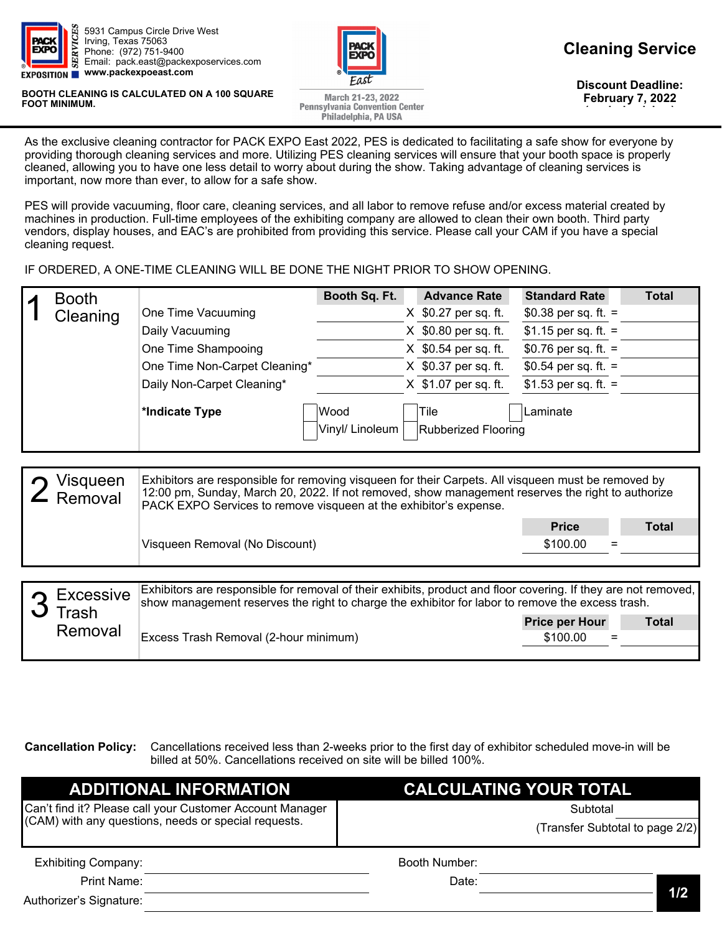

5931 Campus Circle Drive West Irving, Texas 75063 Phone: (972) 751-9400 Email: pack.east@packexposervices.com **www.packexpoeast.com** 

**BOOTH CLEANING IS CALCULATED ON A 100 SQUARE FOOT MINIMUM.** 



**Discount Deadline: February 7, 2022 (excludes labor)** 

March 21-23, 2022 **Pennsylvania Convention Center** Philadelphia, PA USA

As the exclusive cleaning contractor for PACK EXPO East 2022, PES is dedicated to facilitating a safe show for everyone by providing thorough cleaning services and more. Utilizing PES cleaning services will ensure that your booth space is properly cleaned, allowing you to have one less detail to worry about during the show. Taking advantage of cleaning services is important, now more than ever, to allow for a safe show.

PES will provide vacuuming, floor care, cleaning services, and all labor to remove refuse and/or excess material created by machines in production. Full-time employees of the exhibiting company are allowed to clean their own booth. Third party vendors, display houses, and EAC's are prohibited from providing this service. Please call your CAM if you have a special cleaning request.

IF ORDERED, A ONE-TIME CLEANING WILL BE DONE THE NIGHT PRIOR TO SHOW OPENING.

| <b>Booth</b> |                               | Booth Sq. Ft.                  | <b>Advance Rate</b>                | <b>Standard Rate</b> | <b>Total</b> |
|--------------|-------------------------------|--------------------------------|------------------------------------|----------------------|--------------|
| Cleaning     | One Time Vacuuming            |                                | X \$0.27 per sq. ft.               | \$0.38 per sq. ft. = |              |
|              | Daily Vacuuming               |                                | X \$0.80 per sq. ft.               | \$1.15 per sq. ft. = |              |
|              | One Time Shampooing           |                                | X \$0.54 per sq. ft.               | \$0.76 per sq. ft. = |              |
|              | One Time Non-Carpet Cleaning* |                                | X \$0.37 per sq. ft.               | \$0.54 per sq. ft. = |              |
|              | Daily Non-Carpet Cleaning*    |                                | X \$1.07 per sq. ft.               | \$1.53 per sq. ft. = |              |
|              | *Indicate Type                | <b>Wood</b><br>Vinyl/ Linoleum | Tile<br><b>Rubberized Flooring</b> | Laminate             |              |

| Visqueen<br>$\mathsf{\Sigma}$ Removal | Exhibitors are responsible for removing visqueen for their Carpets. All visqueen must be removed by<br>12:00 pm, Sunday, March 20, 2022. If not removed, show management reserves the right to authorize<br>PACK EXPO Services to remove visqueen at the exhibitor's expense.                                                                                                                                                                                            |              |              |  |  |
|---------------------------------------|--------------------------------------------------------------------------------------------------------------------------------------------------------------------------------------------------------------------------------------------------------------------------------------------------------------------------------------------------------------------------------------------------------------------------------------------------------------------------|--------------|--------------|--|--|
|                                       |                                                                                                                                                                                                                                                                                                                                                                                                                                                                          | <b>Price</b> | <b>Total</b> |  |  |
|                                       | Visqueen Removal (No Discount)                                                                                                                                                                                                                                                                                                                                                                                                                                           | \$100.00     |              |  |  |
|                                       |                                                                                                                                                                                                                                                                                                                                                                                                                                                                          |              |              |  |  |
|                                       | $\mathbf{u} \cdot \mathbf{r} = \mathbf{u} \cdot \mathbf{r} = \mathbf{u} \cdot \mathbf{u} + \mathbf{u} \cdot \mathbf{r} = \mathbf{u} \cdot \mathbf{r} = \mathbf{u} \cdot \mathbf{r} = \mathbf{u} \cdot \mathbf{r} = \mathbf{u} \cdot \mathbf{r} = \mathbf{u} \cdot \mathbf{r} = \mathbf{u} \cdot \mathbf{r} = \mathbf{u} \cdot \mathbf{r} = \mathbf{u} \cdot \mathbf{r} = \mathbf{u} \cdot \mathbf{r} = \mathbf{u} \cdot \mathbf{r} = \mathbf{u} \cdot \math$<br>________ |              |              |  |  |

|  | $\bigcap$ Excessive<br>$J$ Trash<br>Removal | Exhibitors are responsible for removal of their exhibits, product and floor covering. If they are not removed,<br>show management reserves the right to charge the exhibitor for labor to remove the excess trash. |                       |              |  |  |  |  |
|--|---------------------------------------------|--------------------------------------------------------------------------------------------------------------------------------------------------------------------------------------------------------------------|-----------------------|--------------|--|--|--|--|
|  |                                             | Excess Trash Removal (2-hour minimum)                                                                                                                                                                              | <b>Price per Hour</b> | <b>Total</b> |  |  |  |  |
|  |                                             |                                                                                                                                                                                                                    | \$100.00              | $=$          |  |  |  |  |
|  |                                             |                                                                                                                                                                                                                    |                       |              |  |  |  |  |

**Cancellation Policy:** Cancellations received less than 2-weeks prior to the first day of exhibitor scheduled move-in will be billed at 50%. Cancellations received on site will be billed 100%.

| <b>ADDITIONAL INFORMATION</b>                            | <b>CALCULATING YOUR TOTAL</b>   |     |
|----------------------------------------------------------|---------------------------------|-----|
| Can't find it? Please call your Customer Account Manager | Subtotal                        |     |
| (CAM) with any questions, needs or special requests.     | (Transfer Subtotal to page 2/2) |     |
| <b>Exhibiting Company:</b>                               | Booth Number:                   |     |
| Print Name:                                              | Date:                           |     |
| Authorizer's Signature:                                  |                                 | 1/2 |